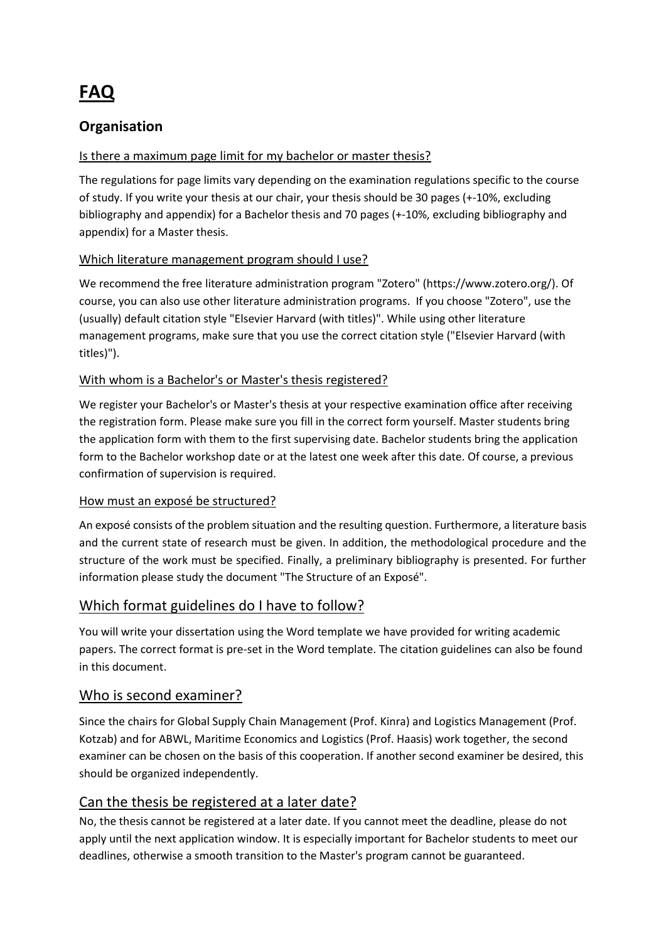# **FAQ**

# **Organisation**

# Is there a maximum page limit for my bachelor or master thesis?

The regulations for page limits vary depending on the examination regulations specific to the course of study. If you write your thesis at our chair, your thesis should be 30 pages (+-10%, excluding bibliography and appendix) for a Bachelor thesis and 70 pages (+-10%, excluding bibliography and appendix) for a Master thesis.

# Which literature management program should I use?

We recommend the free literature administration program "Zotero" (https://www.zotero.org/). Of course, you can also use other literature administration programs. If you choose "Zotero", use the (usually) default citation style "Elsevier Harvard (with titles)". While using other literature management programs, make sure that you use the correct citation style ("Elsevier Harvard (with titles)").

# With whom is a Bachelor's or Master's thesis registered?

We register your Bachelor's or Master's thesis at your respective examination office after receiving the registration form. Please make sure you fill in the correct form yourself. Master students bring the application form with them to the first supervising date. Bachelor students bring the application form to the Bachelor workshop date or at the latest one week after this date. Of course, a previous confirmation of supervision is required.

#### How must an exposé be structured?

An exposé consists of the problem situation and the resulting question. Furthermore, a literature basis and the current state of research must be given. In addition, the methodological procedure and the structure of the work must be specified. Finally, a preliminary bibliography is presented. For further information please study the document "The Structure of an Exposé".

# Which format guidelines do I have to follow?

You will write your dissertation using the Word template we have provided for writing academic papers. The correct format is pre-set in the Word template. The citation guidelines can also be found in this document.

# Who is second examiner?

Since the chairs for Global Supply Chain Management (Prof. Kinra) and Logistics Management (Prof. Kotzab) and for ABWL, Maritime Economics and Logistics (Prof. Haasis) work together, the second examiner can be chosen on the basis of this cooperation. If another second examiner be desired, this should be organized independently.

# Can the thesis be registered at a later date?

No, the thesis cannot be registered at a later date. If you cannot meet the deadline, please do not apply until the next application window. It is especially important for Bachelor students to meet our deadlines, otherwise a smooth transition to the Master's program cannot be guaranteed.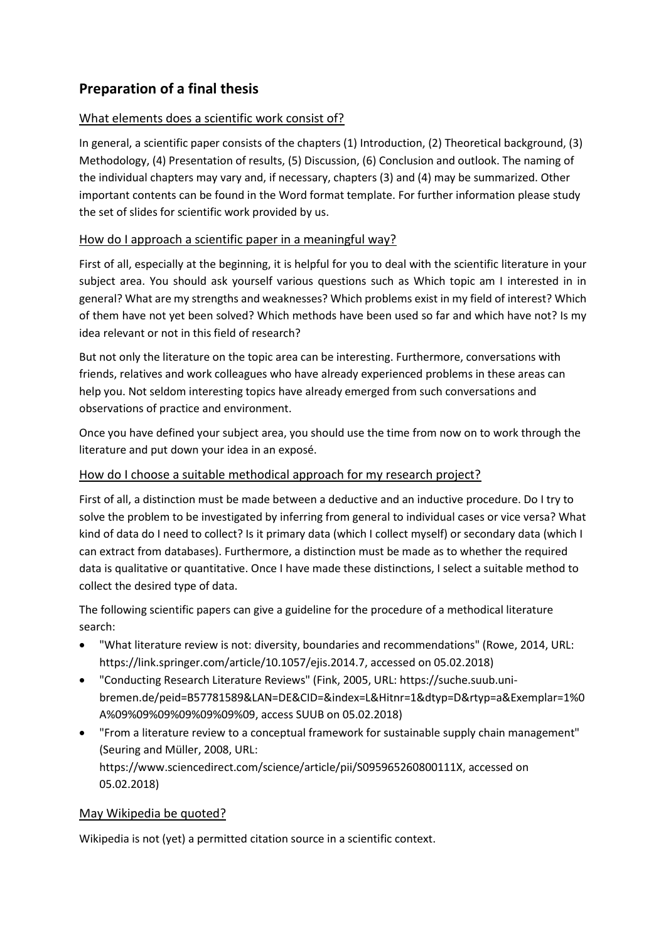# **Preparation of a final thesis**

#### What elements does a scientific work consist of?

In general, a scientific paper consists of the chapters (1) Introduction, (2) Theoretical background, (3) Methodology, (4) Presentation of results, (5) Discussion, (6) Conclusion and outlook. The naming of the individual chapters may vary and, if necessary, chapters (3) and (4) may be summarized. Other important contents can be found in the Word format template. For further information please study the set of slides for scientific work provided by us.

#### How do I approach a scientific paper in a meaningful way?

First of all, especially at the beginning, it is helpful for you to deal with the scientific literature in your subject area. You should ask yourself various questions such as Which topic am I interested in in general? What are my strengths and weaknesses? Which problems exist in my field of interest? Which of them have not yet been solved? Which methods have been used so far and which have not? Is my idea relevant or not in this field of research?

But not only the literature on the topic area can be interesting. Furthermore, conversations with friends, relatives and work colleagues who have already experienced problems in these areas can help you. Not seldom interesting topics have already emerged from such conversations and observations of practice and environment.

Once you have defined your subject area, you should use the time from now on to work through the literature and put down your idea in an exposé.

#### How do I choose a suitable methodical approach for my research project?

First of all, a distinction must be made between a deductive and an inductive procedure. Do I try to solve the problem to be investigated by inferring from general to individual cases or vice versa? What kind of data do I need to collect? Is it primary data (which I collect myself) or secondary data (which I can extract from databases). Furthermore, a distinction must be made as to whether the required data is qualitative or quantitative. Once I have made these distinctions, I select a suitable method to collect the desired type of data.

The following scientific papers can give a guideline for the procedure of a methodical literature search:

- "What literature review is not: diversity, boundaries and recommendations" (Rowe, 2014, URL: https://link.springer.com/article/10.1057/ejis.2014.7, accessed on 05.02.2018)
- "Conducting Research Literature Reviews" (Fink, 2005, URL: https://suche.suub.unibremen.de/peid=B57781589&LAN=DE&CID=&index=L&Hitnr=1&dtyp=D&rtyp=a&Exemplar=1%0 A%09%09%09%09%09%09%09, access SUUB on 05.02.2018)
- "From a literature review to a conceptual framework for sustainable supply chain management" (Seuring and Müller, 2008, URL: https://www.sciencedirect.com/science/article/pii/S095965260800111X, accessed on 05.02.2018)

#### May Wikipedia be quoted?

Wikipedia is not (yet) a permitted citation source in a scientific context.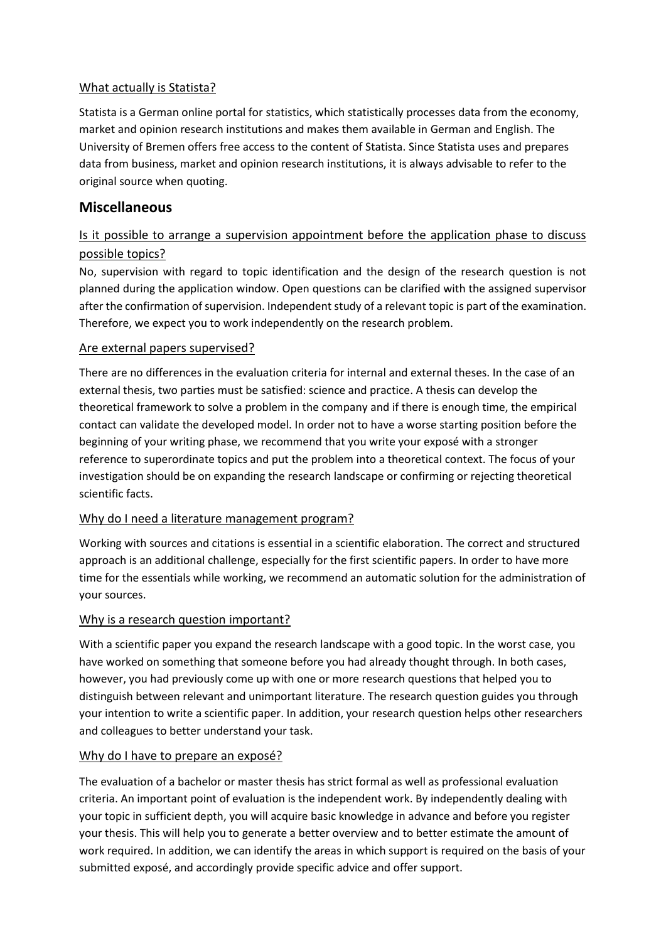#### What actually is Statista?

Statista is a German online portal for statistics, which statistically processes data from the economy, market and opinion research institutions and makes them available in German and English. The University of Bremen offers free access to the content of Statista. Since Statista uses and prepares data from business, market and opinion research institutions, it is always advisable to refer to the original source when quoting.

# **Miscellaneous**

# Is it possible to arrange a supervision appointment before the application phase to discuss possible topics?

No, supervision with regard to topic identification and the design of the research question is not planned during the application window. Open questions can be clarified with the assigned supervisor after the confirmation of supervision. Independent study of a relevant topic is part of the examination. Therefore, we expect you to work independently on the research problem.

#### Are external papers supervised?

There are no differences in the evaluation criteria for internal and external theses. In the case of an external thesis, two parties must be satisfied: science and practice. A thesis can develop the theoretical framework to solve a problem in the company and if there is enough time, the empirical contact can validate the developed model. In order not to have a worse starting position before the beginning of your writing phase, we recommend that you write your exposé with a stronger reference to superordinate topics and put the problem into a theoretical context. The focus of your investigation should be on expanding the research landscape or confirming or rejecting theoretical scientific facts.

#### Why do I need a literature management program?

Working with sources and citations is essential in a scientific elaboration. The correct and structured approach is an additional challenge, especially for the first scientific papers. In order to have more time for the essentials while working, we recommend an automatic solution for the administration of your sources.

#### Why is a research question important?

With a scientific paper you expand the research landscape with a good topic. In the worst case, you have worked on something that someone before you had already thought through. In both cases, however, you had previously come up with one or more research questions that helped you to distinguish between relevant and unimportant literature. The research question guides you through your intention to write a scientific paper. In addition, your research question helps other researchers and colleagues to better understand your task.

#### Why do I have to prepare an exposé?

The evaluation of a bachelor or master thesis has strict formal as well as professional evaluation criteria. An important point of evaluation is the independent work. By independently dealing with your topic in sufficient depth, you will acquire basic knowledge in advance and before you register your thesis. This will help you to generate a better overview and to better estimate the amount of work required. In addition, we can identify the areas in which support is required on the basis of your submitted exposé, and accordingly provide specific advice and offer support.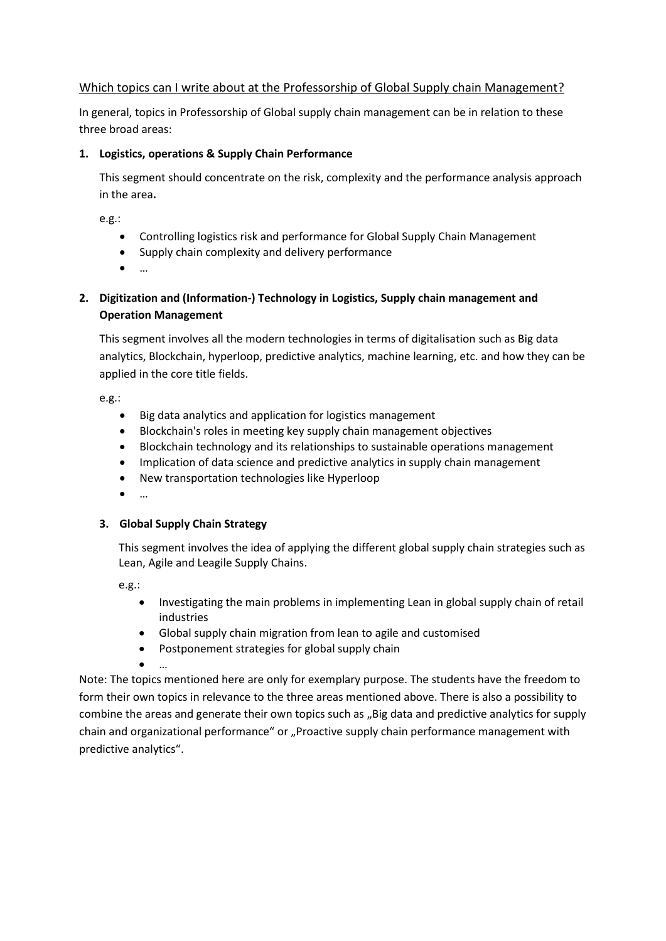#### Which topics can I write about at the Professorship of Global Supply chain Management?

In general, topics in Professorship of Global supply chain management can be in relation to these three broad areas:

#### **1. Logistics, operations & Supply Chain Performance**

This segment should concentrate on the risk, complexity and the performance analysis approach in the area**.** 

e.g.:

- Controlling logistics risk and performance for Global Supply Chain Management
- Supply chain complexity and delivery performance
- …

# **2. Digitization and (Information-) Technology in Logistics, Supply chain management and Operation Management**

This segment involves all the modern technologies in terms of digitalisation such as Big data analytics, Blockchain, hyperloop, predictive analytics, machine learning, etc. and how they can be applied in the core title fields.

e.g.:

- Big data analytics and application for logistics management
- Blockchain's roles in meeting key supply chain management objectives
- Blockchain technology and its relationships to sustainable operations management
- Implication of data science and predictive analytics in supply chain management
- New transportation technologies like Hyperloop
- …

#### **3. Global Supply Chain Strategy**

This segment involves the idea of applying the different global supply chain strategies such as Lean, Agile and Leagile Supply Chains.

e.g.:

- Investigating the main problems in implementing Lean in global supply chain of retail industries
- Global supply chain migration from lean to agile and customised
- Postponement strategies for global supply chain
- …

Note: The topics mentioned here are only for exemplary purpose. The students have the freedom to form their own topics in relevance to the three areas mentioned above. There is also a possibility to combine the areas and generate their own topics such as "Big data and predictive analytics for supply chain and organizational performance" or "Proactive supply chain performance management with predictive analytics".